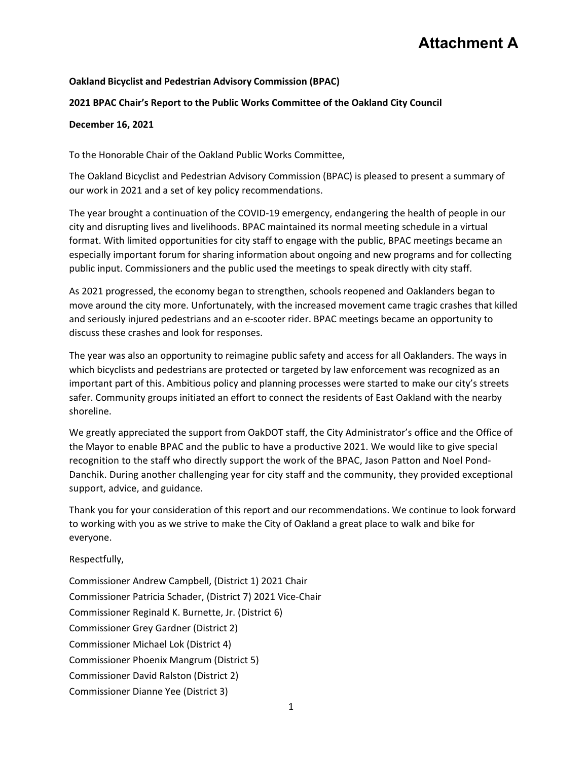# **Attachment A**

#### **Oakland Bicyclist and Pedestrian Advisory Commission (BPAC)**

#### **2021 BPAC Chair's Report to the Public Works Committee of the Oakland City Council**

#### **December 16, 2021**

To the Honorable Chair of the Oakland Public Works Committee,

The Oakland Bicyclist and Pedestrian Advisory Commission (BPAC) is pleased to present a summary of our work in 2021 and a set of key policy recommendations.

The year brought a continuation of the COVID‐19 emergency, endangering the health of people in our city and disrupting lives and livelihoods. BPAC maintained its normal meeting schedule in a virtual format. With limited opportunities for city staff to engage with the public, BPAC meetings became an especially important forum for sharing information about ongoing and new programs and for collecting public input. Commissioners and the public used the meetings to speak directly with city staff.

As 2021 progressed, the economy began to strengthen, schools reopened and Oaklanders began to move around the city more. Unfortunately, with the increased movement came tragic crashes that killed and seriously injured pedestrians and an e‐scooter rider. BPAC meetings became an opportunity to discuss these crashes and look for responses.

The year was also an opportunity to reimagine public safety and access for all Oaklanders. The ways in which bicyclists and pedestrians are protected or targeted by law enforcement was recognized as an important part of this. Ambitious policy and planning processes were started to make our city's streets safer. Community groups initiated an effort to connect the residents of East Oakland with the nearby shoreline.

We greatly appreciated the support from OakDOT staff, the City Administrator's office and the Office of the Mayor to enable BPAC and the public to have a productive 2021. We would like to give special recognition to the staff who directly support the work of the BPAC, Jason Patton and Noel Pond‐ Danchik. During another challenging year for city staff and the community, they provided exceptional support, advice, and guidance.

Thank you for your consideration of this report and our recommendations. We continue to look forward to working with you as we strive to make the City of Oakland a great place to walk and bike for everyone.

Respectfully,

Commissioner Andrew Campbell, (District 1) 2021 Chair Commissioner Patricia Schader, (District 7) 2021 Vice‐Chair Commissioner Reginald K. Burnette, Jr. (District 6) Commissioner Grey Gardner (District 2) Commissioner Michael Lok (District 4) Commissioner Phoenix Mangrum (District 5) Commissioner David Ralston (District 2) Commissioner Dianne Yee (District 3)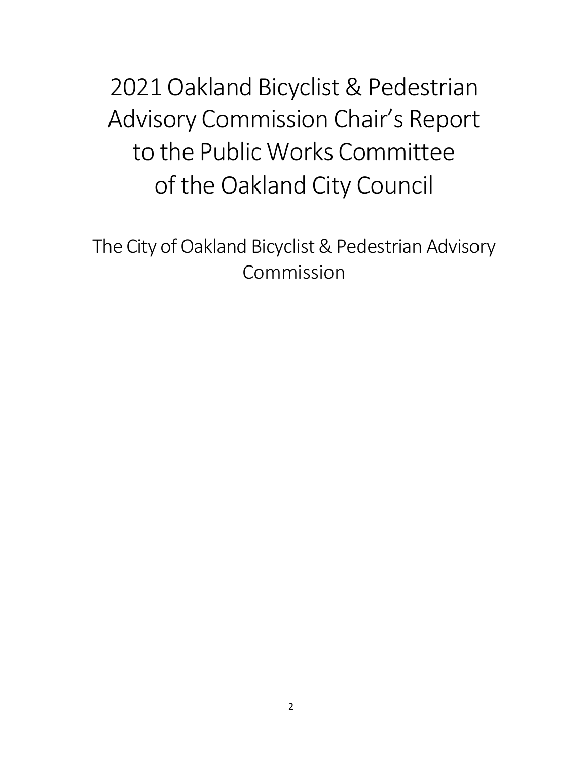2021 Oakland Bicyclist & Pedestrian Advisory Commission Chair's Report to the Public Works Committee of the Oakland City Council

The City of Oakland Bicyclist & Pedestrian Advisory Commission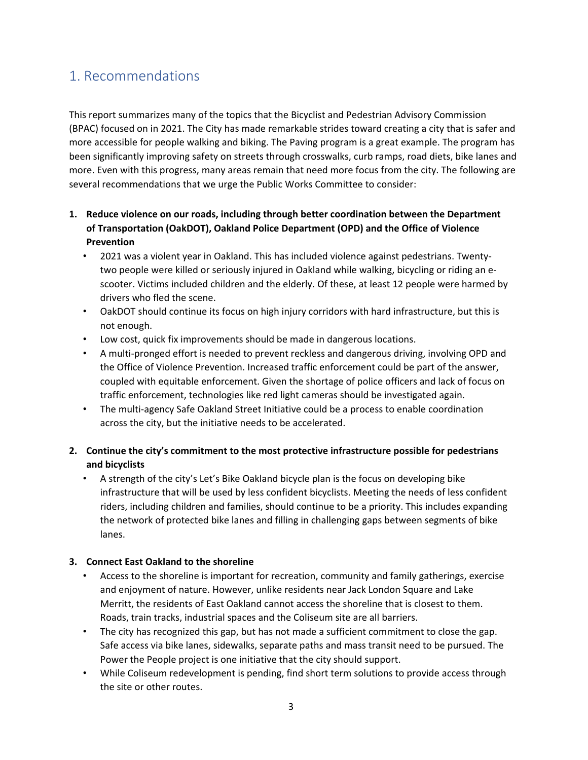# 1. Recommendations

This report summarizes many of the topics that the Bicyclist and Pedestrian Advisory Commission (BPAC) focused on in 2021. The City has made remarkable strides toward creating a city that is safer and more accessible for people walking and biking. The Paving program is a great example. The program has been significantly improving safety on streets through crosswalks, curb ramps, road diets, bike lanes and more. Even with this progress, many areas remain that need more focus from the city. The following are several recommendations that we urge the Public Works Committee to consider:

- **1. Reduce violence on our roads, including through better coordination between the Department of Transportation (OakDOT), Oakland Police Department (OPD) and the Office of Violence Prevention** 
	- 2021 was a violent year in Oakland. This has included violence against pedestrians. Twenty‐ two people were killed or seriously injured in Oakland while walking, bicycling or riding an e‐ scooter. Victims included children and the elderly. Of these, at least 12 people were harmed by drivers who fled the scene.
	- OakDOT should continue its focus on high injury corridors with hard infrastructure, but this is not enough.
	- Low cost, quick fix improvements should be made in dangerous locations.
	- A multi‐pronged effort is needed to prevent reckless and dangerous driving, involving OPD and the Office of Violence Prevention. Increased traffic enforcement could be part of the answer, coupled with equitable enforcement. Given the shortage of police officers and lack of focus on traffic enforcement, technologies like red light cameras should be investigated again.
	- The multi-agency Safe Oakland Street Initiative could be a process to enable coordination across the city, but the initiative needs to be accelerated.

#### **2. Continue the city's commitment to the most protective infrastructure possible for pedestrians and bicyclists**

• A strength of the city's Let's Bike Oakland bicycle plan is the focus on developing bike infrastructure that will be used by less confident bicyclists. Meeting the needs of less confident riders, including children and families, should continue to be a priority. This includes expanding the network of protected bike lanes and filling in challenging gaps between segments of bike lanes.

#### **3. Connect East Oakland to the shoreline**

- Access to the shoreline is important for recreation, community and family gatherings, exercise and enjoyment of nature. However, unlike residents near Jack London Square and Lake Merritt, the residents of East Oakland cannot access the shoreline that is closest to them. Roads, train tracks, industrial spaces and the Coliseum site are all barriers.
- The city has recognized this gap, but has not made a sufficient commitment to close the gap. Safe access via bike lanes, sidewalks, separate paths and mass transit need to be pursued. The Power the People project is one initiative that the city should support.
- While Coliseum redevelopment is pending, find short term solutions to provide access through the site or other routes.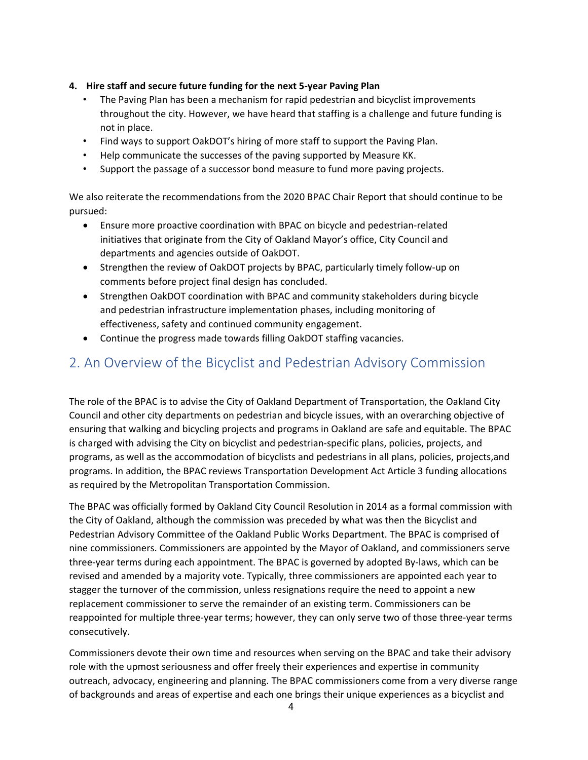#### **4. Hire staff and secure future funding for the next 5‐year Paving Plan**

- The Paving Plan has been a mechanism for rapid pedestrian and bicyclist improvements throughout the city. However, we have heard that staffing is a challenge and future funding is not in place.
- Find ways to support OakDOT's hiring of more staff to support the Paving Plan.
- Help communicate the successes of the paving supported by Measure KK.
- Support the passage of a successor bond measure to fund more paving projects.

We also reiterate the recommendations from the 2020 BPAC Chair Report that should continue to be pursued:

- Ensure more proactive coordination with BPAC on bicycle and pedestrian‐related initiatives that originate from the City of Oakland Mayor's office, City Council and departments and agencies outside of OakDOT.
- Strengthen the review of OakDOT projects by BPAC, particularly timely follow-up on comments before project final design has concluded.
- Strengthen OakDOT coordination with BPAC and community stakeholders during bicycle and pedestrian infrastructure implementation phases, including monitoring of effectiveness, safety and continued community engagement.
- Continue the progress made towards filling OakDOT staffing vacancies.

# 2. An Overview of the Bicyclist and Pedestrian Advisory Commission

The role of the BPAC is to advise the City of Oakland Department of Transportation, the Oakland City Council and other city departments on pedestrian and bicycle issues, with an overarching objective of ensuring that walking and bicycling projects and programs in Oakland are safe and equitable. The BPAC is charged with advising the City on bicyclist and pedestrian‐specific plans, policies, projects, and programs, as well as the accommodation of bicyclists and pedestrians in all plans, policies, projects,and programs. In addition, the BPAC reviews Transportation Development Act Article 3 funding allocations as required by the Metropolitan Transportation Commission.

The BPAC was officially formed by Oakland City Council Resolution in 2014 as a formal commission with the City of Oakland, although the commission was preceded by what was then the Bicyclist and Pedestrian Advisory Committee of the Oakland Public Works Department. The BPAC is comprised of nine commissioners. Commissioners are appointed by the Mayor of Oakland, and commissioners serve three‐year terms during each appointment. The BPAC is governed by adopted By‐laws, which can be revised and amended by a majority vote. Typically, three commissioners are appointed each year to stagger the turnover of the commission, unless resignations require the need to appoint a new replacement commissioner to serve the remainder of an existing term. Commissioners can be reappointed for multiple three‐year terms; however, they can only serve two of those three‐year terms consecutively.

Commissioners devote their own time and resources when serving on the BPAC and take their advisory role with the upmost seriousness and offer freely their experiences and expertise in community outreach, advocacy, engineering and planning. The BPAC commissioners come from a very diverse range of backgrounds and areas of expertise and each one brings their unique experiences as a bicyclist and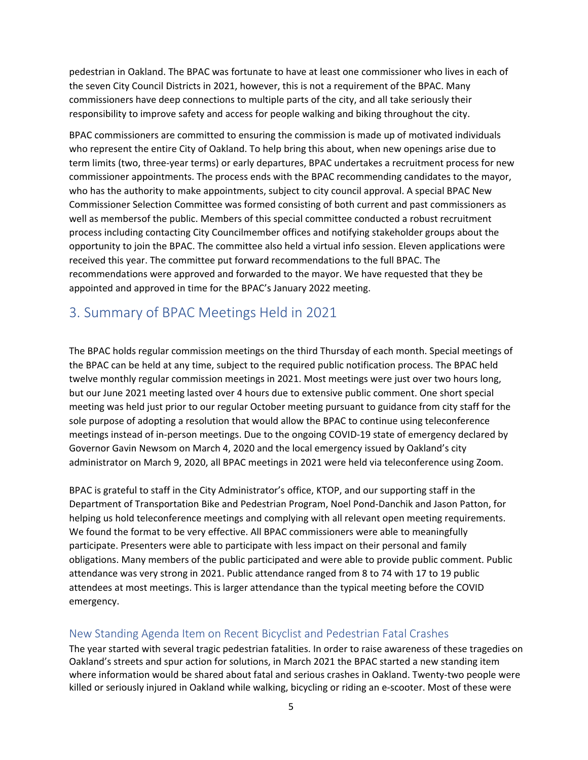pedestrian in Oakland. The BPAC was fortunate to have at least one commissioner who lives in each of the seven City Council Districts in 2021, however, this is not a requirement of the BPAC. Many commissioners have deep connections to multiple parts of the city, and all take seriously their responsibility to improve safety and access for people walking and biking throughout the city.

BPAC commissioners are committed to ensuring the commission is made up of motivated individuals who represent the entire City of Oakland. To help bring this about, when new openings arise due to term limits (two, three‐year terms) or early departures, BPAC undertakes a recruitment process for new commissioner appointments. The process ends with the BPAC recommending candidates to the mayor, who has the authority to make appointments, subject to city council approval. A special BPAC New Commissioner Selection Committee was formed consisting of both current and past commissioners as well as membersof the public. Members of this special committee conducted a robust recruitment process including contacting City Councilmember offices and notifying stakeholder groups about the opportunity to join the BPAC. The committee also held a virtual info session. Eleven applications were received this year. The committee put forward recommendations to the full BPAC. The recommendations were approved and forwarded to the mayor. We have requested that they be appointed and approved in time for the BPAC's January 2022 meeting.

# 3. Summary of BPAC Meetings Held in 2021

The BPAC holds regular commission meetings on the third Thursday of each month. Special meetings of the BPAC can be held at any time, subject to the required public notification process. The BPAC held twelve monthly regular commission meetings in 2021. Most meetings were just over two hours long, but our June 2021 meeting lasted over 4 hours due to extensive public comment. One short special meeting was held just prior to our regular October meeting pursuant to guidance from city staff for the sole purpose of adopting a resolution that would allow the BPAC to continue using teleconference meetings instead of in‐person meetings. Due to the ongoing COVID‐19 state of emergency declared by Governor Gavin Newsom on March 4, 2020 and the local emergency issued by Oakland's city administrator on March 9, 2020, all BPAC meetings in 2021 were held via teleconference using Zoom.

BPAC is grateful to staff in the City Administrator's office, KTOP, and our supporting staff in the Department of Transportation Bike and Pedestrian Program, Noel Pond‐Danchik and Jason Patton, for helping us hold teleconference meetings and complying with all relevant open meeting requirements. We found the format to be very effective. All BPAC commissioners were able to meaningfully participate. Presenters were able to participate with less impact on their personal and family obligations. Many members of the public participated and were able to provide public comment. Public attendance was very strong in 2021. Public attendance ranged from 8 to 74 with 17 to 19 public attendees at most meetings. This is larger attendance than the typical meeting before the COVID emergency.

#### New Standing Agenda Item on Recent Bicyclist and Pedestrian Fatal Crashes

The year started with several tragic pedestrian fatalities. In order to raise awareness of these tragedies on Oakland's streets and spur action for solutions, in March 2021 the BPAC started a new standing item where information would be shared about fatal and serious crashes in Oakland. Twenty-two people were killed or seriously injured in Oakland while walking, bicycling or riding an e-scooter. Most of these were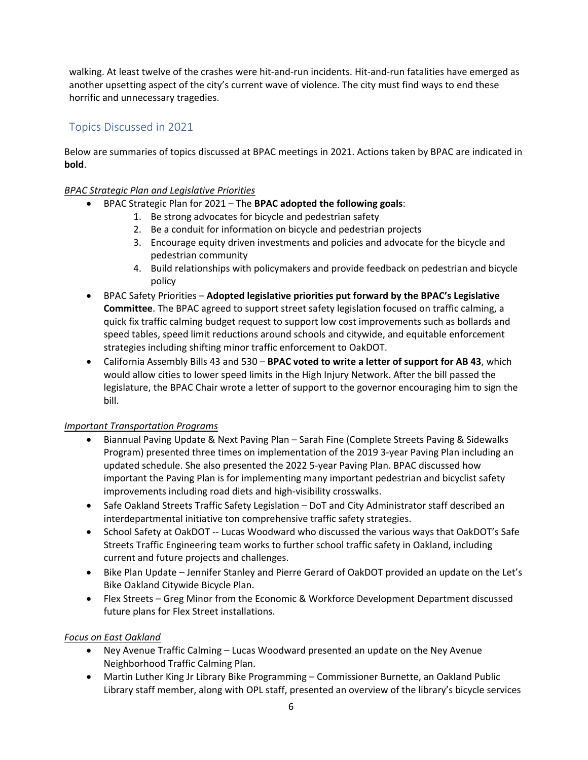walking. At least twelve of the crashes were hit‐and‐run incidents. Hit‐and‐run fatalities have emerged as another upsetting aspect of the city's current wave of violence. The city must find ways to end these horrific and unnecessary tragedies.

### Topics Discussed in 2021

Below are summaries of topics discussed at BPAC meetings in 2021. Actions taken by BPAC are indicated in **bold**.

#### *BPAC Strategic Plan and Legislative Priorities*

- BPAC Strategic Plan for 2021 The **BPAC adopted the following goals**:
	- 1. Be strong advocates for bicycle and pedestrian safety
	- 2. Be a conduit for information on bicycle and pedestrian projects
	- 3. Encourage equity driven investments and policies and advocate for the bicycle and pedestrian community
	- 4. Build relationships with policymakers and provide feedback on pedestrian and bicycle policy
- BPAC Safety Priorities **Adopted legislative priorities put forward by the BPAC's Legislative Committee**. The BPAC agreed to support street safety legislation focused on traffic calming, a quick fix traffic calming budget request to support low cost improvements such as bollards and speed tables, speed limit reductions around schools and citywide, and equitable enforcement strategies including shifting minor traffic enforcement to OakDOT.
- California Assembly Bills 43 and 530 **BPAC voted to write a letter of support for AB 43**, which would allow cities to lower speed limits in the High Injury Network. After the bill passed the legislature, the BPAC Chair wrote a letter of support to the governor encouraging him to sign the bill.

#### *Important Transportation Programs*

- Biannual Paving Update & Next Paving Plan Sarah Fine (Complete Streets Paving & Sidewalks Program) presented three times on implementation of the 2019 3‐year Paving Plan including an updated schedule. She also presented the 2022 5‐year Paving Plan. BPAC discussed how important the Paving Plan is for implementing many important pedestrian and bicyclist safety improvements including road diets and high‐visibility crosswalks.
- Safe Oakland Streets Traffic Safety Legislation DoT and City Administrator staff described an interdepartmental initiative ton comprehensive traffic safety strategies.
- School Safety at OakDOT -- Lucas Woodward who discussed the various ways that OakDOT's Safe Streets Traffic Engineering team works to further school traffic safety in Oakland, including current and future projects and challenges.
- Bike Plan Update Jennifer Stanley and Pierre Gerard of OakDOT provided an update on the Let's Bike Oakland Citywide Bicycle Plan.
- Flex Streets Greg Minor from the Economic & Workforce Development Department discussed future plans for Flex Street installations.

#### *Focus on East Oakland*

- Ney Avenue Traffic Calming Lucas Woodward presented an update on the Ney Avenue Neighborhood Traffic Calming Plan.
- Martin Luther King Jr Library Bike Programming Commissioner Burnette, an Oakland Public Library staff member, along with OPL staff, presented an overview of the library's bicycle services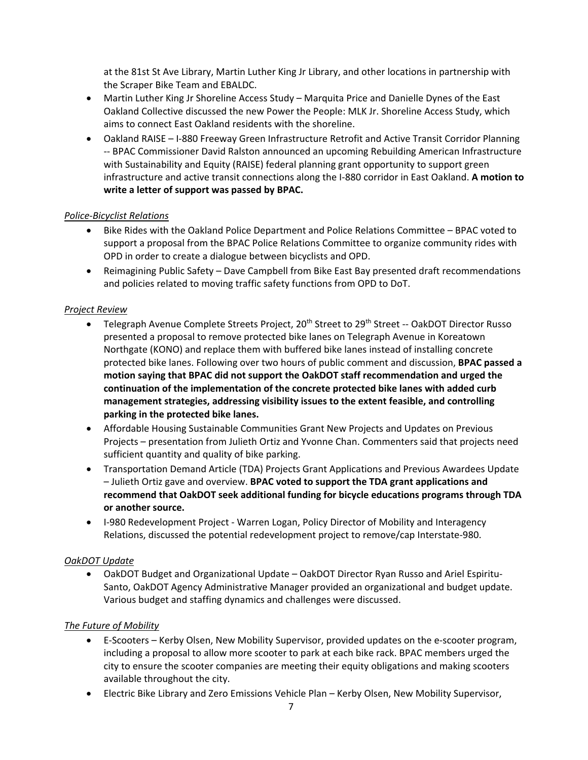at the 81st St Ave Library, Martin Luther King Jr Library, and other locations in partnership with the Scraper Bike Team and EBALDC.

- Martin Luther King Jr Shoreline Access Study Marquita Price and Danielle Dynes of the East Oakland Collective discussed the new Power the People: MLK Jr. Shoreline Access Study, which aims to connect East Oakland residents with the shoreline.
- Oakland RAISE I-880 Freeway Green Infrastructure Retrofit and Active Transit Corridor Planning ‐‐ BPAC Commissioner David Ralston announced an upcoming Rebuilding American Infrastructure with Sustainability and Equity (RAISE) federal planning grant opportunity to support green infrastructure and active transit connections along the I‐880 corridor in East Oakland. **A motion to write a letter of support was passed by BPAC.**

#### *Police‐Bicyclist Relations*

- Bike Rides with the Oakland Police Department and Police Relations Committee BPAC voted to support a proposal from the BPAC Police Relations Committee to organize community rides with OPD in order to create a dialogue between bicyclists and OPD.
- Reimagining Public Safety Dave Campbell from Bike East Bay presented draft recommendations and policies related to moving traffic safety functions from OPD to DoT.

#### *Project Review*

- Telegraph Avenue Complete Streets Project, 20<sup>th</sup> Street to 29<sup>th</sup> Street -- OakDOT Director Russo presented a proposal to remove protected bike lanes on Telegraph Avenue in Koreatown Northgate (KONO) and replace them with buffered bike lanes instead of installing concrete protected bike lanes. Following over two hours of public comment and discussion, **BPAC passed a motion saying that BPAC did not support the OakDOT staff recommendation and urged the continuation of the implementation of the concrete protected bike lanes with added curb management strategies, addressing visibility issues to the extent feasible, and controlling parking in the protected bike lanes.**
- Affordable Housing Sustainable Communities Grant New Projects and Updates on Previous Projects – presentation from Julieth Ortiz and Yvonne Chan. Commenters said that projects need sufficient quantity and quality of bike parking.
- Transportation Demand Article (TDA) Projects Grant Applications and Previous Awardees Update – Julieth Ortiz gave and overview. **BPAC voted to support the TDA grant applications and recommend that OakDOT seek additional funding for bicycle educations programs through TDA or another source.**
- I-980 Redevelopment Project Warren Logan, Policy Director of Mobility and Interagency Relations, discussed the potential redevelopment project to remove/cap Interstate‐980.

#### *OakDOT Update*

● OakDOT Budget and Organizational Update – OakDOT Director Ryan Russo and Ariel Espiritu-Santo, OakDOT Agency Administrative Manager provided an organizational and budget update. Various budget and staffing dynamics and challenges were discussed.

#### *The Future of Mobility*

- E‐Scooters Kerby Olsen, New Mobility Supervisor, provided updates on the e‐scooter program, including a proposal to allow more scooter to park at each bike rack. BPAC members urged the city to ensure the scooter companies are meeting their equity obligations and making scooters available throughout the city.
- Electric Bike Library and Zero Emissions Vehicle Plan Kerby Olsen, New Mobility Supervisor,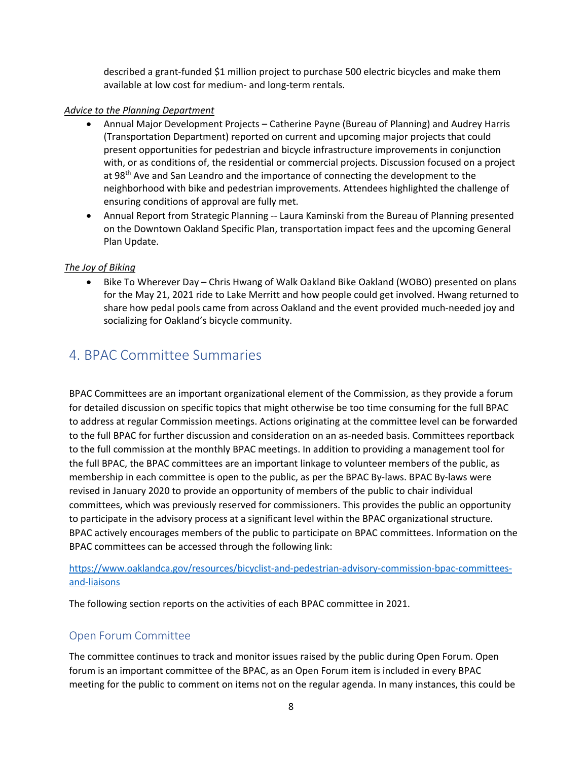described a grant‐funded \$1 million project to purchase 500 electric bicycles and make them available at low cost for medium‐ and long‐term rentals.

#### *Advice to the Planning Department*

- Annual Major Development Projects Catherine Payne (Bureau of Planning) and Audrey Harris (Transportation Department) reported on current and upcoming major projects that could present opportunities for pedestrian and bicycle infrastructure improvements in conjunction with, or as conditions of, the residential or commercial projects. Discussion focused on a project at 98<sup>th</sup> Ave and San Leandro and the importance of connecting the development to the neighborhood with bike and pedestrian improvements. Attendees highlighted the challenge of ensuring conditions of approval are fully met.
- Annual Report from Strategic Planning ‐‐ Laura Kaminski from the Bureau of Planning presented on the Downtown Oakland Specific Plan, transportation impact fees and the upcoming General Plan Update.

#### *The Joy of Biking*

• Bike To Wherever Day – Chris Hwang of Walk Oakland Bike Oakland (WOBO) presented on plans for the May 21, 2021 ride to Lake Merritt and how people could get involved. Hwang returned to share how pedal pools came from across Oakland and the event provided much‐needed joy and socializing for Oakland's bicycle community.

# 4. BPAC Committee Summaries

BPAC Committees are an important organizational element of the Commission, as they provide a forum for detailed discussion on specific topics that might otherwise be too time consuming for the full BPAC to address at regular Commission meetings. Actions originating at the committee level can be forwarded to the full BPAC for further discussion and consideration on an as-needed basis. Committees reportback to the full commission at the monthly BPAC meetings. In addition to providing a management tool for the full BPAC, the BPAC committees are an important linkage to volunteer members of the public, as membership in each committee is open to the public, as per the BPAC By-laws. BPAC By-laws were revised in January 2020 to provide an opportunity of members of the public to chair individual committees, which was previously reserved for commissioners. This provides the public an opportunity to participate in the advisory process at a significant level within the BPAC organizational structure. BPAC actively encourages members of the public to participate on BPAC committees. Information on the BPAC committees can be accessed through the following link:

https://www.oaklandca.gov/resources/bicyclist-and-pedestrian-advisory-commission-bpac-committeesand‐liaisons

The following section reports on the activities of each BPAC committee in 2021.

### Open Forum Committee

The committee continues to track and monitor issues raised by the public during Open Forum. Open forum is an important committee of the BPAC, as an Open Forum item is included in every BPAC meeting for the public to comment on items not on the regular agenda. In many instances, this could be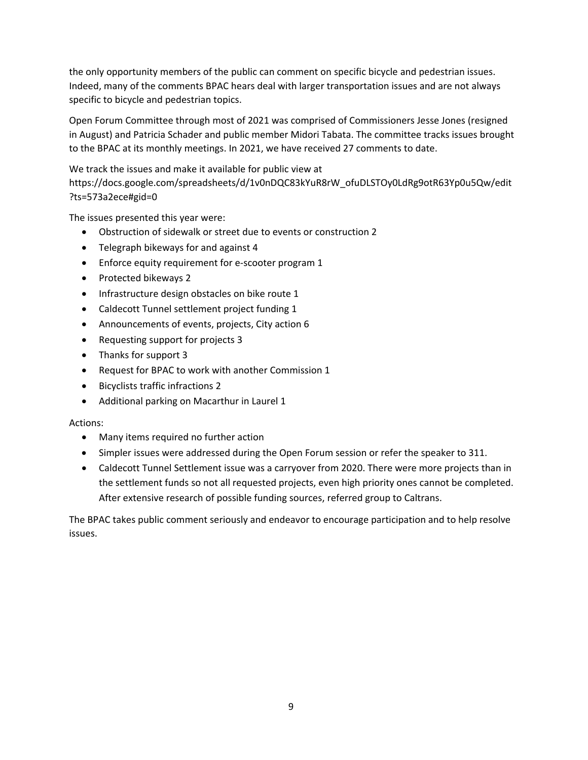the only opportunity members of the public can comment on specific bicycle and pedestrian issues. Indeed, many of the comments BPAC hears deal with larger transportation issues and are not always specific to bicycle and pedestrian topics.

Open Forum Committee through most of 2021 was comprised of Commissioners Jesse Jones (resigned in August) and Patricia Schader and public member Midori Tabata. The committee tracks issues brought to the BPAC at its monthly meetings. In 2021, we have received 27 comments to date.

We track the issues and make it available for public view at https://docs.google.com/spreadsheets/d/1v0nDQC83kYuR8rW\_ofuDLSTOy0LdRg9otR63Yp0u5Qw/edit ?ts=573a2ece#gid=0

The issues presented this year were:

- Obstruction of sidewalk or street due to events or construction 2
- Telegraph bikeways for and against 4
- Enforce equity requirement for e-scooter program 1
- Protected bikeways 2
- Infrastructure design obstacles on bike route 1
- Caldecott Tunnel settlement project funding 1
- Announcements of events, projects, City action 6
- Requesting support for projects 3
- Thanks for support 3
- Request for BPAC to work with another Commission 1
- Bicyclists traffic infractions 2
- Additional parking on Macarthur in Laurel 1

#### Actions:

- Many items required no further action
- Simpler issues were addressed during the Open Forum session or refer the speaker to 311.
- Caldecott Tunnel Settlement issue was a carryover from 2020. There were more projects than in the settlement funds so not all requested projects, even high priority ones cannot be completed. After extensive research of possible funding sources, referred group to Caltrans.

The BPAC takes public comment seriously and endeavor to encourage participation and to help resolve issues.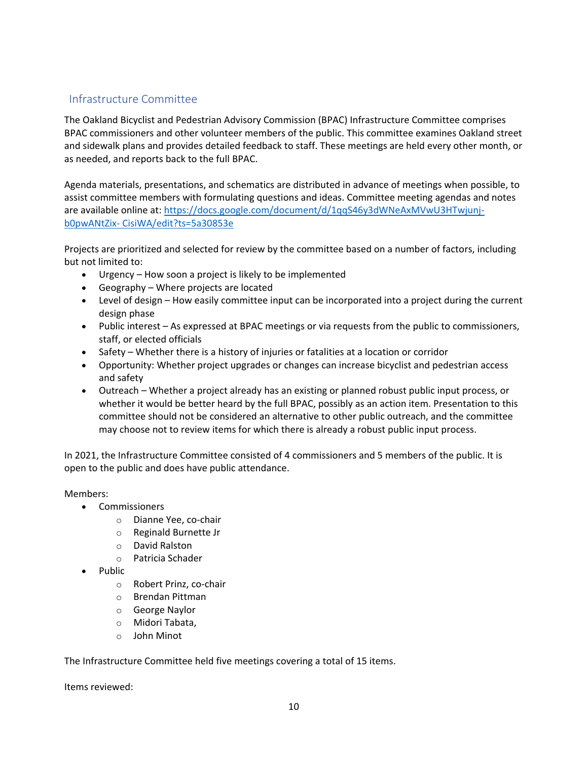### Infrastructure Committee

The Oakland Bicyclist and Pedestrian Advisory Commission (BPAC) Infrastructure Committee comprises BPAC commissioners and other volunteer members of the public. This committee examines Oakland street and sidewalk plans and provides detailed feedback to staff. These meetings are held every other month, or as needed, and reports back to the full BPAC.

Agenda materials, presentations, and schematics are distributed in advance of meetings when possible, to assist committee members with formulating questions and ideas. Committee meeting agendas and notes are available online at: https://docs.google.com/document/d/1qqS46y3dWNeAxMVwU3HTwjunjb0pwANtZix‐ CisiWA/edit?ts=5a30853e

Projects are prioritized and selected for review by the committee based on a number of factors, including but not limited to:

- Urgency How soon a project is likely to be implemented
- Geography Where projects are located
- Level of design How easily committee input can be incorporated into a project during the current design phase
- Public interest As expressed at BPAC meetings or via requests from the public to commissioners, staff, or elected officials
- Safety Whether there is a history of injuries or fatalities at a location or corridor
- Opportunity: Whether project upgrades or changes can increase bicyclist and pedestrian access and safety
- Outreach Whether a project already has an existing or planned robust public input process, or whether it would be better heard by the full BPAC, possibly as an action item. Presentation to this committee should not be considered an alternative to other public outreach, and the committee may choose not to review items for which there is already a robust public input process.

In 2021, the Infrastructure Committee consisted of 4 commissioners and 5 members of the public. It is open to the public and does have public attendance.

Members:

- Commissioners
	- o Dianne Yee, co‐chair
	- o Reginald Burnette Jr
	- o David Ralston
	- o Patricia Schader
- Public
	- o Robert Prinz, co‐chair
	- o Brendan Pittman
	- o George Naylor
	- o Midori Tabata,
	- o John Minot

The Infrastructure Committee held five meetings covering a total of 15 items.

Items reviewed: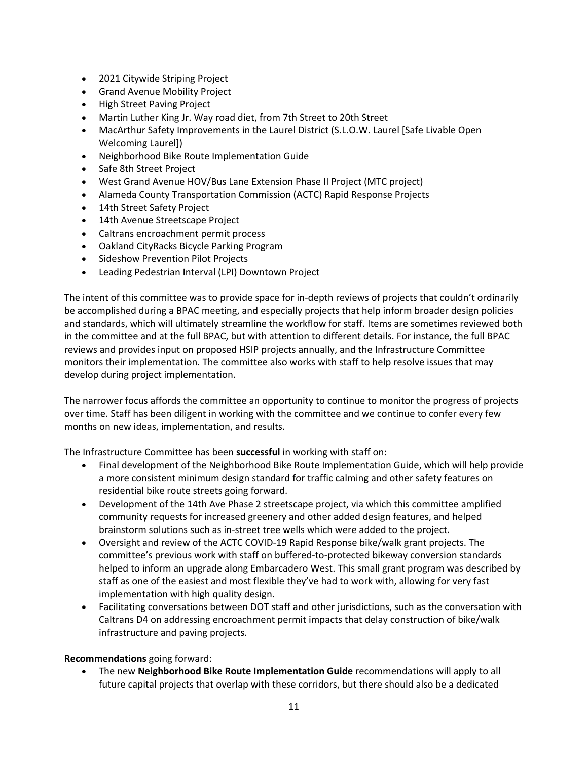- 2021 Citywide Striping Project
- Grand Avenue Mobility Project
- High Street Paving Project
- Martin Luther King Jr. Way road diet, from 7th Street to 20th Street
- MacArthur Safety Improvements in the Laurel District (S.L.O.W. Laurel [Safe Livable Open Welcoming Laurel])
- Neighborhood Bike Route Implementation Guide
- Safe 8th Street Project
- West Grand Avenue HOV/Bus Lane Extension Phase II Project (MTC project)
- Alameda County Transportation Commission (ACTC) Rapid Response Projects
- 14th Street Safety Project
- 14th Avenue Streetscape Project
- Caltrans encroachment permit process
- Oakland CityRacks Bicycle Parking Program
- Sideshow Prevention Pilot Projects
- Leading Pedestrian Interval (LPI) Downtown Project

The intent of this committee was to provide space for in‐depth reviews of projects that couldn't ordinarily be accomplished during a BPAC meeting, and especially projects that help inform broader design policies and standards, which will ultimately streamline the workflow for staff. Items are sometimes reviewed both in the committee and at the full BPAC, but with attention to different details. For instance, the full BPAC reviews and provides input on proposed HSIP projects annually, and the Infrastructure Committee monitors their implementation. The committee also works with staff to help resolve issues that may develop during project implementation.

The narrower focus affords the committee an opportunity to continue to monitor the progress of projects over time. Staff has been diligent in working with the committee and we continue to confer every few months on new ideas, implementation, and results.

The Infrastructure Committee has been **successful** in working with staff on:

- Final development of the Neighborhood Bike Route Implementation Guide, which will help provide a more consistent minimum design standard for traffic calming and other safety features on residential bike route streets going forward.
- Development of the 14th Ave Phase 2 streetscape project, via which this committee amplified community requests for increased greenery and other added design features, and helped brainstorm solutions such as in‐street tree wells which were added to the project.
- Oversight and review of the ACTC COVID‐19 Rapid Response bike/walk grant projects. The committee's previous work with staff on buffered‐to‐protected bikeway conversion standards helped to inform an upgrade along Embarcadero West. This small grant program was described by staff as one of the easiest and most flexible they've had to work with, allowing for very fast implementation with high quality design.
- Facilitating conversations between DOT staff and other jurisdictions, such as the conversation with Caltrans D4 on addressing encroachment permit impacts that delay construction of bike/walk infrastructure and paving projects.

#### **Recommendations** going forward:

 The new **Neighborhood Bike Route Implementation Guide** recommendations will apply to all future capital projects that overlap with these corridors, but there should also be a dedicated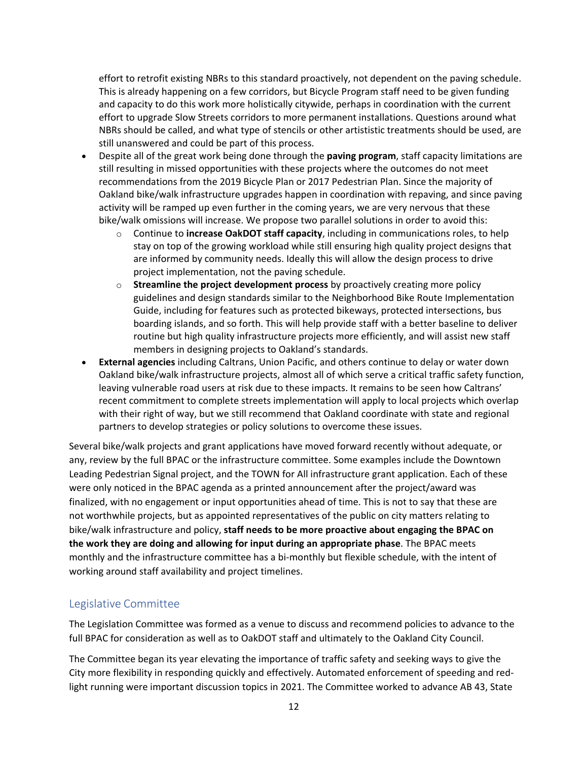effort to retrofit existing NBRs to this standard proactively, not dependent on the paving schedule. This is already happening on a few corridors, but Bicycle Program staff need to be given funding and capacity to do this work more holistically citywide, perhaps in coordination with the current effort to upgrade Slow Streets corridors to more permanent installations. Questions around what NBRs should be called, and what type of stencils or other artististic treatments should be used, are still unanswered and could be part of this process.

- Despite all of the great work being done through the **paving program**, staff capacity limitations are still resulting in missed opportunities with these projects where the outcomes do not meet recommendations from the 2019 Bicycle Plan or 2017 Pedestrian Plan. Since the majority of Oakland bike/walk infrastructure upgrades happen in coordination with repaving, and since paving activity will be ramped up even further in the coming years, we are very nervous that these bike/walk omissions will increase. We propose two parallel solutions in order to avoid this:
	- o Continue to **increase OakDOT staff capacity**, including in communications roles, to help stay on top of the growing workload while still ensuring high quality project designs that are informed by community needs. Ideally this will allow the design process to drive project implementation, not the paving schedule.
	- o **Streamline the project development process** by proactively creating more policy guidelines and design standards similar to the Neighborhood Bike Route Implementation Guide, including for features such as protected bikeways, protected intersections, bus boarding islands, and so forth. This will help provide staff with a better baseline to deliver routine but high quality infrastructure projects more efficiently, and will assist new staff members in designing projects to Oakland's standards.
- **External agencies** including Caltrans, Union Pacific, and others continue to delay or water down Oakland bike/walk infrastructure projects, almost all of which serve a critical traffic safety function, leaving vulnerable road users at risk due to these impacts. It remains to be seen how Caltrans' recent commitment to complete streets implementation will apply to local projects which overlap with their right of way, but we still recommend that Oakland coordinate with state and regional partners to develop strategies or policy solutions to overcome these issues.

Several bike/walk projects and grant applications have moved forward recently without adequate, or any, review by the full BPAC or the infrastructure committee. Some examples include the Downtown Leading Pedestrian Signal project, and the TOWN for All infrastructure grant application. Each of these were only noticed in the BPAC agenda as a printed announcement after the project/award was finalized, with no engagement or input opportunities ahead of time. This is not to say that these are not worthwhile projects, but as appointed representatives of the public on city matters relating to bike/walk infrastructure and policy, **staff needs to be more proactive about engaging the BPAC on the work they are doing and allowing for input during an appropriate phase**. The BPAC meets monthly and the infrastructure committee has a bi-monthly but flexible schedule, with the intent of working around staff availability and project timelines.

### Legislative Committee

The Legislation Committee was formed as a venue to discuss and recommend policies to advance to the full BPAC for consideration as well as to OakDOT staff and ultimately to the Oakland City Council.

The Committee began its year elevating the importance of traffic safety and seeking ways to give the City more flexibility in responding quickly and effectively. Automated enforcement of speeding and red‐ light running were important discussion topics in 2021. The Committee worked to advance AB 43, State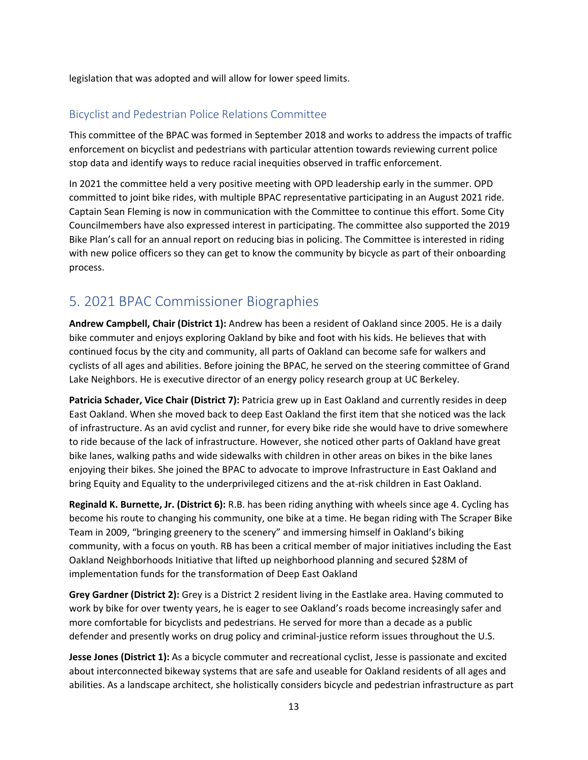legislation that was adopted and will allow for lower speed limits.

### Bicyclist and Pedestrian Police Relations Committee

This committee of the BPAC was formed in September 2018 and works to address the impacts of traffic enforcement on bicyclist and pedestrians with particular attention towards reviewing current police stop data and identify ways to reduce racial inequities observed in traffic enforcement.

In 2021 the committee held a very positive meeting with OPD leadership early in the summer. OPD committed to joint bike rides, with multiple BPAC representative participating in an August 2021 ride. Captain Sean Fleming is now in communication with the Committee to continue this effort. Some City Councilmembers have also expressed interest in participating. The committee also supported the 2019 Bike Plan's call for an annual report on reducing bias in policing. The Committee is interested in riding with new police officers so they can get to know the community by bicycle as part of their onboarding process.

# 5. 2021 BPAC Commissioner Biographies

**Andrew Campbell, Chair (District 1):** Andrew has been a resident of Oakland since 2005. He is a daily bike commuter and enjoys exploring Oakland by bike and foot with his kids. He believes that with continued focus by the city and community, all parts of Oakland can become safe for walkers and cyclists of all ages and abilities. Before joining the BPAC, he served on the steering committee of Grand Lake Neighbors. He is executive director of an energy policy research group at UC Berkeley.

**Patricia Schader, Vice Chair (District 7):** Patricia grew up in East Oakland and currently resides in deep East Oakland. When she moved back to deep East Oakland the first item that she noticed was the lack of infrastructure. As an avid cyclist and runner, for every bike ride she would have to drive somewhere to ride because of the lack of infrastructure. However, she noticed other parts of Oakland have great bike lanes, walking paths and wide sidewalks with children in other areas on bikes in the bike lanes enjoying their bikes. She joined the BPAC to advocate to improve Infrastructure in East Oakland and bring Equity and Equality to the underprivileged citizens and the at‐risk children in East Oakland.

**Reginald K. Burnette, Jr. (District 6):** R.B. has been riding anything with wheels since age 4. Cycling has become his route to changing his community, one bike at a time. He began riding with The Scraper Bike Team in 2009, "bringing greenery to the scenery" and immersing himself in Oakland's biking community, with a focus on youth. RB has been a critical member of major initiatives including the East Oakland Neighborhoods Initiative that lifted up neighborhood planning and secured \$28M of implementation funds for the transformation of Deep East Oakland

**Grey Gardner (District 2):** Grey is a District 2 resident living in the Eastlake area. Having commuted to work by bike for over twenty years, he is eager to see Oakland's roads become increasingly safer and more comfortable for bicyclists and pedestrians. He served for more than a decade as a public defender and presently works on drug policy and criminal-justice reform issues throughout the U.S.

**Jesse Jones (District 1):** As a bicycle commuter and recreational cyclist, Jesse is passionate and excited about interconnected bikeway systems that are safe and useable for Oakland residents of all ages and abilities. As a landscape architect, she holistically considers bicycle and pedestrian infrastructure as part